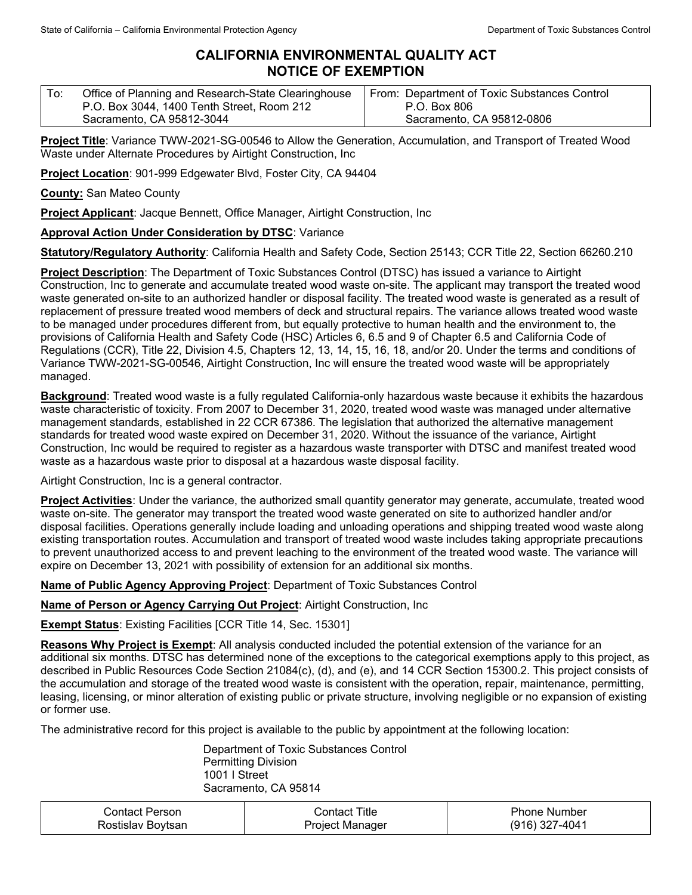## **CALIFORNIA ENVIRONMENTAL QUALITY ACT NOTICE OF EXEMPTION**

| To: | Office of Planning and Research-State Clearinghouse | From: Department of Toxic Substances Control |
|-----|-----------------------------------------------------|----------------------------------------------|
|     | P.O. Box 3044, 1400 Tenth Street, Room 212          | P.O. Box 806                                 |
|     | Sacramento, CA 95812-3044                           | Sacramento, CA 95812-0806                    |

**Project Title**: Variance TWW-2021-SG-00546 to Allow the Generation, Accumulation, and Transport of Treated Wood Waste under Alternate Procedures by Airtight Construction, Inc

**Project Location**: 901-999 Edgewater Blvd, Foster City, CA 94404

**County:** San Mateo County

**Project Applicant**: Jacque Bennett, Office Manager, Airtight Construction, Inc

## **Approval Action Under Consideration by DTSC**: Variance

**Statutory/Regulatory Authority**: California Health and Safety Code, Section 25143; CCR Title 22, Section 66260.210

**Project Description**: The Department of Toxic Substances Control (DTSC) has issued a variance to Airtight Construction, Inc to generate and accumulate treated wood waste on-site. The applicant may transport the treated wood waste generated on-site to an authorized handler or disposal facility. The treated wood waste is generated as a result of replacement of pressure treated wood members of deck and structural repairs. The variance allows treated wood waste to be managed under procedures different from, but equally protective to human health and the environment to, the provisions of California Health and Safety Code (HSC) Articles 6, 6.5 and 9 of Chapter 6.5 and California Code of Regulations (CCR), Title 22, Division 4.5, Chapters 12, 13, 14, 15, 16, 18, and/or 20. Under the terms and conditions of Variance TWW-2021-SG-00546, Airtight Construction, Inc will ensure the treated wood waste will be appropriately managed.

**Background**: Treated wood waste is a fully regulated California-only hazardous waste because it exhibits the hazardous waste characteristic of toxicity. From 2007 to December 31, 2020, treated wood waste was managed under alternative management standards, established in 22 CCR 67386. The legislation that authorized the alternative management standards for treated wood waste expired on December 31, 2020. Without the issuance of the variance, Airtight Construction, Inc would be required to register as a hazardous waste transporter with DTSC and manifest treated wood waste as a hazardous waste prior to disposal at a hazardous waste disposal facility.

Airtight Construction, Inc is a general contractor.

**Project Activities**: Under the variance, the authorized small quantity generator may generate, accumulate, treated wood waste on-site. The generator may transport the treated wood waste generated on site to authorized handler and/or disposal facilities. Operations generally include loading and unloading operations and shipping treated wood waste along existing transportation routes. Accumulation and transport of treated wood waste includes taking appropriate precautions to prevent unauthorized access to and prevent leaching to the environment of the treated wood waste. The variance will expire on December 13, 2021 with possibility of extension for an additional six months.

**Name of Public Agency Approving Project**: Department of Toxic Substances Control

**Name of Person or Agency Carrying Out Project**: Airtight Construction, Inc

**Exempt Status**: Existing Facilities [CCR Title 14, Sec. 15301]

**Reasons Why Project is Exempt**: All analysis conducted included the potential extension of the variance for an additional six months. DTSC has determined none of the exceptions to the categorical exemptions apply to this project, as described in Public Resources Code Section 21084(c), (d), and (e), and 14 CCR Section 15300.2. This project consists of the accumulation and storage of the treated wood waste is consistent with the operation, repair, maintenance, permitting, leasing, licensing, or minor alteration of existing public or private structure, involving negligible or no expansion of existing or former use.

The administrative record for this project is available to the public by appointment at the following location:

Department of Toxic Substances Control Permitting Division 1001 I Street Sacramento, CA 95814

| Contact Person    | ುontact Title . | Phone Number     |
|-------------------|-----------------|------------------|
| Rostislav Boytsan | Project Manager | $(916)$ 327-4041 |